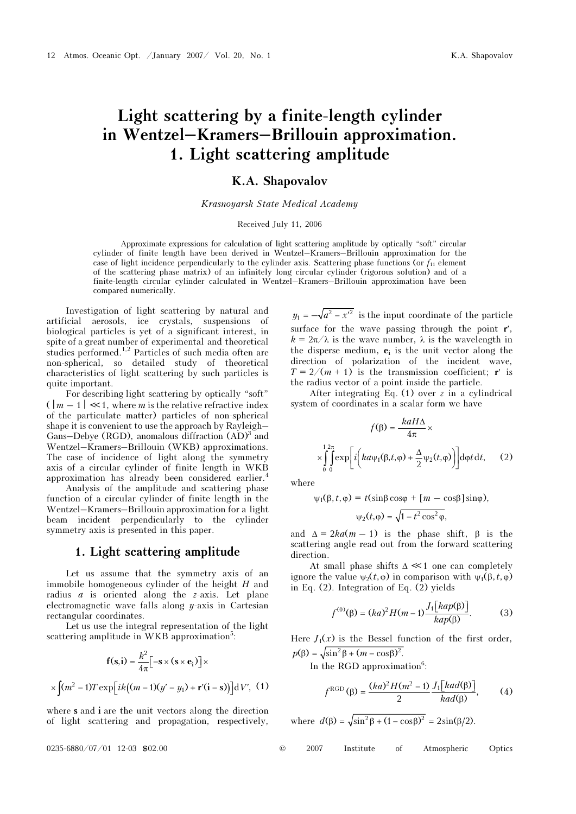# Light scattering by a finite-length cylinder in Wentzel–Kramers–Brillouin approximation. 1. Light scattering amplitude

# K.A. Shapovalov

### Krasnoyarsk State Medical Academy

#### Received July 11, 2006

Approximate expressions for calculation of light scattering amplitude by optically "soft" circular cylinder of finite length have been derived in Wentzel–Kramers–Brillouin approximation for the case of light incidence perpendicularly to the cylinder axis. Scattering phase functions (or  $f_{11}$  element of the scattering phase matrix) of an infinitely long circular cylinder (rigorous solution) and of a finite-length circular cylinder calculated in Wentzel–Kramers–Brillouin approximation have been compared numerically.

Investigation of light scattering by natural and artificial aerosols, ice crystals, suspensions of biological particles is yet of a significant interest, in spite of a great number of experimental and theoretical studies performed.<sup>1,2</sup> Particles of such media often are non-spherical, so detailed study of theoretical characteristics of light scattering by such particles is quite important.

For describing light scattering by optically "soft"  $(\lfloor m-1 \rfloor \ll 1,$  where m is the relative refractive index of the particulate matter) particles of non-spherical shape it is convenient to use the approach by Rayleigh– Gans–Debye (RGD), anomalous diffraction  $(AD)^3$  and Wentzel–Kramers–Brillouin (WKB) approximations. The case of incidence of light along the symmetry axis of a circular cylinder of finite length in WKB approximation has already been considered earlier.<sup>4</sup>

 Analysis of the amplitude and scattering phase function of a circular cylinder of finite length in the Wentzel–Kramers–Brillouin approximation for a light beam incident perpendicularly to the cylinder symmetry axis is presented in this paper.

# 1. Light scattering amplitude

Let us assume that the symmetry axis of an immobile homogeneous cylinder of the height H and radius  $a$  is oriented along the  $z$ -axis. Let plane electromagnetic wave falls along  $y$ -axis in Cartesian rectangular coordinates.

Let us use the integral representation of the light scattering amplitude in WKB approximation<sup>5</sup>:

$$
\mathbf{f}(\mathbf{s}, \mathbf{i}) = \frac{k^2}{4\pi} \left[ -\mathbf{s} \times (\mathbf{s} \times \mathbf{e}_i) \right] \times
$$

$$
\times \int (m^2 - 1) T \exp\left[i k \left( (m - 1)(y' - y_1) + \mathbf{r}'(\mathbf{i} - \mathbf{s}) \right) \right] dV', \tag{1}
$$

where s and i are the unit vectors along the direction of light scattering and propagation, respectively,

 $y_1 = -\sqrt{a^2 - x'^2}$  is the input coordinate of the particle surface for the wave passing through the point  $\mathbf{r}'$ ,  $k = 2\pi/\lambda$  is the wave number,  $\lambda$  is the wavelength in the disperse medium,  $e_i$  is the unit vector along the direction of polarization of the incident wave,  $T = 2/(m + 1)$  is the transmission coefficient; r' is the radius vector of a point inside the particle.

After integrating Eq. (1) over z in a cylindrical system of coordinates in a scalar form we have

$$
f(\beta) = \frac{k a H \Delta}{4\pi} \times
$$

$$
\times \int_{0}^{12\pi} \int_{0}^{\infty} \exp\left[i\left(ka\psi_1(\beta, t, \varphi) + \frac{\Delta}{2}\psi_2(t, \varphi)\right)\right] d\varphi t dt, \qquad (2)
$$

where

$$
\psi_1(\beta, t, \varphi) = t(\sin\beta\cos\varphi + [m - \cos\beta]\sin\varphi),
$$

$$
\psi_2(t,\varphi)=\sqrt{1-t^2\cos^2\varphi},
$$

and  $\Delta = 2ka(m-1)$  is the phase shift,  $\beta$  is the scattering angle read out from the forward scattering direction.

At small phase shifts  $\Delta \ll 1$  one can completely ignore the value  $\psi_2(t,\varphi)$  in comparison with  $\psi_1(\beta,t,\varphi)$ in Eq. (2). Integration of Eq. (2) yields

$$
f^{(0)}(\beta) = (ka)^2 H(m-1) \frac{J_1[kap(\beta)]}{kap(\beta)}.
$$
 (3)

Here  $J_1(x)$  is the Bessel function of the first order,  $p(\beta) = \sqrt{\sin^2 \beta + (m - \cos \beta)^2}$ .

In the RGD approximation<sup>6</sup>:

$$
f^{\text{RGD}}(\beta) = \frac{(ka)^2 H(m^2 - 1)}{2} \frac{J_1\left[kad(\beta)\right]}{kad(\beta)},\qquad(4)
$$

where  $d(\beta) = \sqrt{\sin^2 \beta + (1 - \cos \beta)^2} = 2\sin(\beta/2)$ .

$$
0235-6880/07/01 \quad 12-03 \quad $02.00
$$

0235-6880/07/01 12-03 \$02.00 © 2007 Institute of Atmospheric Optics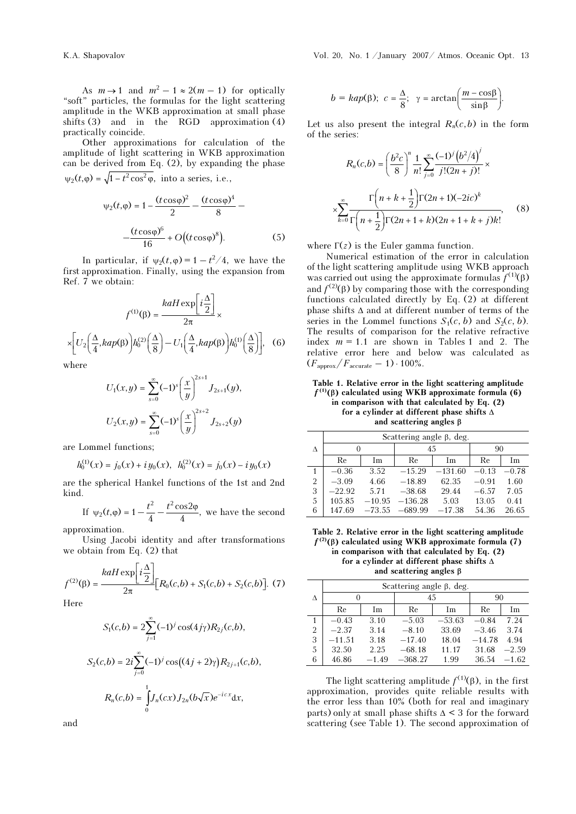As  $m \to 1$  and  $m^2 - 1 \approx 2(m - 1)$  for optically "soft" particles, the formulas for the light scattering amplitude in the WKB approximation at small phase shifts (3) and in the RGD approximation (4) practically coincide.

Other approximations for calculation of the amplitude of light scattering in WKB approximation can be derived from Eq. (2), by expanding the phase  $\psi_2(t, \varphi) = \sqrt{1 - t^2 \cos^2 \varphi}$ , into a series, i.e.,

$$
\psi_2(t,\varphi) = 1 - \frac{(t\cos\varphi)^2}{2} - \frac{(t\cos\varphi)^4}{8} - \frac{(t\cos\varphi)^6}{16} + O((t\cos\varphi)^8).
$$
 (5)

In particular, if  $\psi_2(t, \varphi) = 1 - t^2/4$ , we have the first approximation. Finally, using the expansion from Ref. 7 we obtain:

$$
f^{(1)}(\beta) = \frac{k a H \exp\left[i\frac{\Delta}{2}\right]}{2\pi} \times \left[U_2\left(\frac{\Delta}{4}, k a p(\beta)\right) h_0^{(2)}\left(\frac{\Delta}{8}\right) - U_1\left(\frac{\Delta}{4}, k a p(\beta)\right) h_0^{(1)}\left(\frac{\Delta}{8}\right)\right], \quad (6)
$$

where

$$
U_1(x,y) = \sum_{s=0}^{\infty} (-1)^s \left(\frac{x}{y}\right)^{2s+1} J_{2s+1}(y),
$$
  

$$
U_2(x,y) = \sum_{s=0}^{\infty} (-1)^s \left(\frac{x}{y}\right)^{2s+2} J_{2s+2}(y)
$$

are Lommel functions;

$$
h_0^{(1)}(x) = j_0(x) + iy_0(x), \ \ h_0^{(2)}(x) = j_0(x) - iy_0(x)
$$

are the spherical Hankel functions of the 1st and 2nd kind.

If 
$$
\psi_2(t, \varphi) = 1 - \frac{t^2}{4} - \frac{t^2 \cos 2\varphi}{4}
$$
, we have the second approximation.

Using Jacobi identity and after transformations we obtain from Eq. (2) that

$$
f^{(2)}(\beta) = \frac{k a H \exp\left[i\frac{\Delta}{2}\right]}{2\pi} [R_0(c, b) + S_1(c, b) + S_2(c, b)].
$$
 (7)

Here

$$
S_1(c,b) = 2\sum_{j=1}^{\infty} (-1)^j \cos(4j\gamma) R_{2j}(c,b),
$$
  
\n
$$
S_2(c,b) = 2i \sum_{j=0}^{\infty} (-1)^j \cos((4j+2)\gamma) R_{2j+1}(c,b),
$$
  
\n
$$
R_n(c,b) = \int_0^1 J_n(cx) J_{2n}(b\sqrt{x}) e^{-icx} dx,
$$

$$
b = \text{kap}(\beta); \quad c = \frac{\Delta}{8}; \quad \gamma = \arctan\left(\frac{m - \cos\beta}{\sin\beta}\right).
$$

Let us also present the integral  $R_n(c,b)$  in the form of the series:

$$
R_n(c,b) = \left(\frac{b^2c}{8}\right)^n \frac{1}{n!} \sum_{j=0}^{\infty} \frac{(-1)^j (b^2/4)^j}{j!(2n+j)!} \times \frac{\Gamma\left(n+k+\frac{1}{2}\right) \Gamma(2n+1)(-2ic)^k}{\Gamma\left(n+\frac{1}{2}\right) \Gamma(2n+1+k)(2n+1+k+j)k!},
$$
 (8)

where  $\Gamma(z)$  is the Euler gamma function.

Numerical estimation of the error in calculation of the light scattering amplitude using WKB approach was carried out using the approximate formulas  $f^{(1)}(\beta)$ and  $f^{(2)}(\beta)$  by comparing those with the corresponding functions calculated directly by Eq. (2) at different phase shifts Δ and at different number of terms of the series in the Lommel functions  $S_1(c, b)$  and  $S_2(c, b)$ . The results of comparison for the relative refractive index  $m = 1.1$  are shown in Tables 1 and 2. The relative error here and below was calculated as  $(F_{\rm approx}/F_{\rm accurate}-1)\cdot 100\%.$ 

Table 1. Relative error in the light scattering amplitude  $f^{(1)}(\beta)$  calculated using WKB approximate formula (6) in comparison with that calculated by Eq. (2) for a cylinder at different phase shifts Δ and scattering angles β

|                | Scattering angle $\beta$ , deg. |          |           |           |         |         |  |  |
|----------------|---------------------------------|----------|-----------|-----------|---------|---------|--|--|
| Δ              |                                 |          | 45        |           | 90      |         |  |  |
|                | Re                              | Im       | Re        | Im        | Re      | Im      |  |  |
| 1              | $-0.36$                         | 3.52     | $-15.29$  | $-131.60$ | $-0.13$ | $-0.78$ |  |  |
| $\overline{2}$ | $-3.09$                         | 4.66     | $-18.89$  | 62.35     | $-0.91$ | 1.60    |  |  |
| 3              | $-22.92$                        | 5.71     | $-38.68$  | 29.44     | $-6.57$ | 7.05    |  |  |
| $\overline{5}$ | 105.85                          | $-10.95$ | $-136.28$ | 5.03      | 13.05   | 0.41    |  |  |
| 6              | 147.69                          | $-73.55$ | $-689.99$ | $-17.38$  | 54.36   | 26.65   |  |  |

Table 2. Relative error in the light scattering amplitude  $f^{(2)}(\beta)$  calculated using WKB approximate formula (7) in comparison with that calculated by Eq. (2) for a cylinder at different phase shifts Δ and scattering angles β

|                | Scattering angle $\beta$ , deg. |         |           |          |          |         |  |  |
|----------------|---------------------------------|---------|-----------|----------|----------|---------|--|--|
| Δ              |                                 |         | 45        |          | 90       |         |  |  |
|                | Re                              | Im      | Re        | Im       | Re       | Im      |  |  |
|                | $-0.43$                         | 3.10    | $-5.03$   | $-53.63$ | $-0.84$  | 7 24    |  |  |
| $\overline{2}$ | $-2.37$                         | 3.14    | $-8.10$   | 33.69    | $-3.46$  | 3.74    |  |  |
| 3              | $-11.51$                        | 3.18    | $-17.40$  | 18.04    | $-14.78$ | 4.94    |  |  |
| 5              | 32.50                           | 2.25    | $-68.18$  | 11 17    | 31.68    | $-2.59$ |  |  |
| 6              | 46.86                           | $-1.49$ | $-368.27$ | 1.99     | 36.54    | $-1.62$ |  |  |

The light scattering amplitude  $f^{(1)}(\beta)$ , in the first approximation, provides quite reliable results with the error less than 10% (both for real and imaginary parts) only at small phase shifts  $\Delta$  < 3 for the forward scattering (see Table 1). The second approximation of